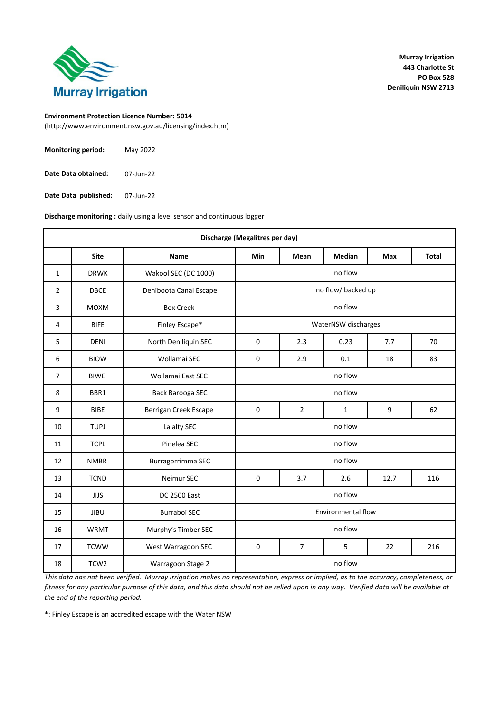

(http://www.environment.nsw.gov.au/licensing/index.htm)

| <b>Monitoring period:</b> | May 2022  |
|---------------------------|-----------|
| Date Data obtained:       | 07-Jun-22 |

07-Jun-22 **Date Data published:**

**Discharge monitoring :** daily using a level sensor and continuous logger

|                | Discharge (Megalitres per day) |                        |                                                 |                |                     |            |              |  |
|----------------|--------------------------------|------------------------|-------------------------------------------------|----------------|---------------------|------------|--------------|--|
|                | <b>Site</b>                    | Name                   | <b>Min</b>                                      | Mean           | <b>Median</b>       | <b>Max</b> | <b>Total</b> |  |
| $\mathbf{1}$   | <b>DRWK</b>                    | Wakool SEC (DC 1000)   |                                                 |                | no flow             |            |              |  |
| 2              | <b>DBCE</b>                    | Deniboota Canal Escape |                                                 |                | no flow/ backed up  |            |              |  |
| 3              | <b>MOXM</b>                    | <b>Box Creek</b>       |                                                 |                | no flow             |            |              |  |
| 4              | <b>BIFE</b>                    | Finley Escape*         |                                                 |                | WaterNSW discharges |            |              |  |
| 5              | <b>DENI</b>                    | North Deniliquin SEC   | $\mathbf 0$                                     | 2.3            | 0.23                | 7.7        | 70           |  |
| 6              | <b>BIOW</b>                    | Wollamai SEC           | 0                                               | 2.9            | 0.1                 | 18         | 83           |  |
| $\overline{7}$ | <b>BIWE</b>                    | Wollamai East SEC      |                                                 |                | no flow             |            |              |  |
| 8              | BBR1                           | Back Barooga SEC       |                                                 |                | no flow             |            |              |  |
| 9              | <b>BIBE</b>                    | Berrigan Creek Escape  | $\mathbf 0$                                     | $\overline{2}$ | 1                   | 9          | 62           |  |
| 10             | <b>TUPJ</b>                    | Lalalty SEC            |                                                 |                | no flow             |            |              |  |
| 11             | <b>TCPL</b>                    | Pinelea SEC            |                                                 |                | no flow             |            |              |  |
| 12             | <b>NMBR</b>                    | Burragorrimma SEC      |                                                 |                | no flow             |            |              |  |
| 13             | <b>TCND</b>                    | Neimur SEC             | $\mathbf 0$                                     | 3.7            | 2.6                 | 12.7       | 116          |  |
| 14             | <b>JIJS</b>                    | <b>DC 2500 East</b>    | no flow                                         |                |                     |            |              |  |
| 15             | <b>JIBU</b>                    | <b>Burraboi SEC</b>    | <b>Environmental flow</b>                       |                |                     |            |              |  |
| 16             | <b>WRMT</b>                    | Murphy's Timber SEC    | no flow                                         |                |                     |            |              |  |
| 17             | <b>TCWW</b>                    | West Warragoon SEC     | $\overline{7}$<br>$\mathbf 0$<br>5<br>22<br>216 |                |                     |            |              |  |
| 18             | TCW <sub>2</sub>               | Warragoon Stage 2      | no flow                                         |                |                     |            |              |  |

*This data has not been verified. Murray Irrigation makes no representation, express or implied, as to the accuracy, completeness, or fitness for any particular purpose of this data, and this data should not be relied upon in any way. Verified data will be available at the end of the reporting period.*

\*: Finley Escape is an accredited escape with the Water NSW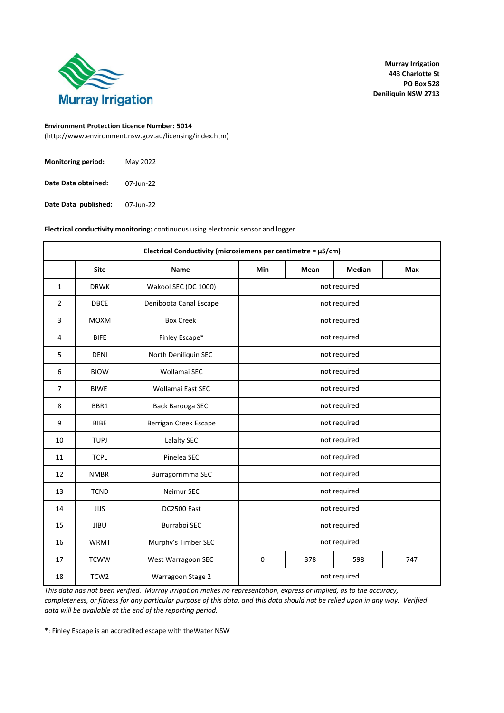

(http://www.environment.nsw.gov.au/licensing/index.htm)

| <b>Monitoring period:</b> | May 2022  |
|---------------------------|-----------|
| Date Data obtained:       | 07-Jun-22 |

07-Jun-22 **Date Data published:**

**Electrical conductivity monitoring:** continuous using electronic sensor and logger

| Electrical Conductivity (microsiemens per centimetre = $\mu$ S/cm) |                  |                        |                                  |      |               |     |  |
|--------------------------------------------------------------------|------------------|------------------------|----------------------------------|------|---------------|-----|--|
|                                                                    | <b>Site</b>      | Name                   | <b>Min</b>                       | Mean | <b>Median</b> | Max |  |
| $\mathbf{1}$                                                       | <b>DRWK</b>      | Wakool SEC (DC 1000)   |                                  |      | not required  |     |  |
| $\overline{2}$                                                     | <b>DBCE</b>      | Deniboota Canal Escape |                                  |      | not required  |     |  |
| 3                                                                  | <b>MOXM</b>      | <b>Box Creek</b>       |                                  |      | not required  |     |  |
| 4                                                                  | <b>BIFE</b>      | Finley Escape*         |                                  |      | not required  |     |  |
| 5                                                                  | <b>DENI</b>      | North Deniliquin SEC   |                                  |      | not required  |     |  |
| 6                                                                  | <b>BIOW</b>      | Wollamai SEC           | not required                     |      |               |     |  |
| 7                                                                  | <b>BIWE</b>      | Wollamai East SEC      | not required                     |      |               |     |  |
| 8                                                                  | BBR1             | Back Barooga SEC       | not required                     |      |               |     |  |
| 9                                                                  | <b>BIBE</b>      | Berrigan Creek Escape  | not required                     |      |               |     |  |
| 10                                                                 | <b>TUPJ</b>      | Lalalty SEC            |                                  |      | not required  |     |  |
| 11                                                                 | <b>TCPL</b>      | Pinelea SEC            |                                  |      | not required  |     |  |
| 12                                                                 | <b>NMBR</b>      | Burragorrimma SEC      |                                  |      | not required  |     |  |
| 13                                                                 | <b>TCND</b>      | Neimur SEC             |                                  |      | not required  |     |  |
| 14                                                                 | <b>JIJS</b>      | DC2500 East            | not required                     |      |               |     |  |
| 15                                                                 | <b>JIBU</b>      | <b>Burraboi SEC</b>    | not required                     |      |               |     |  |
| 16                                                                 | <b>WRMT</b>      | Murphy's Timber SEC    | not required                     |      |               |     |  |
| 17                                                                 | <b>TCWW</b>      | West Warragoon SEC     | $\mathsf 0$<br>378<br>598<br>747 |      |               |     |  |
| 18                                                                 | TCW <sub>2</sub> | Warragoon Stage 2      | not required                     |      |               |     |  |

*This data has not been verified. Murray Irrigation makes no representation, express or implied, as to the accuracy, completeness, or fitness for any particular purpose of this data, and this data should not be relied upon in any way. Verified data will be available at the end of the reporting period.*

\*: Finley Escape is an accredited escape with theWater NSW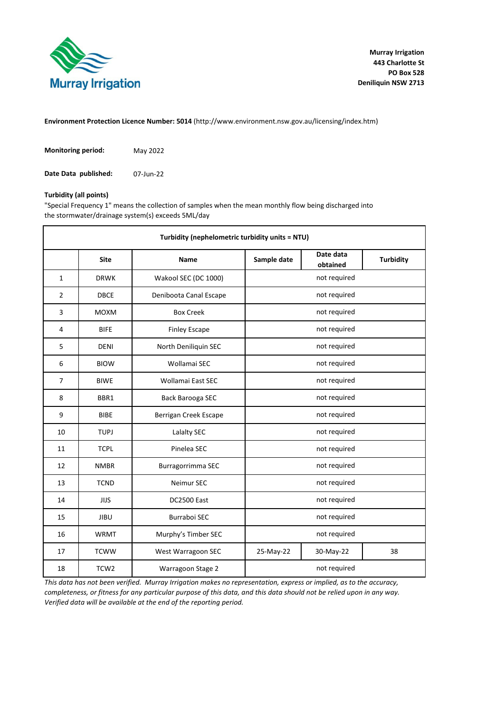

**Environment Protection Licence Number: 5014** (http://www.environment.nsw.gov.au/licensing/index.htm)

| <b>Monitoring period:</b> | May 2022  |
|---------------------------|-----------|
| Date Data published:      | 07-Jun-22 |

#### **Turbidity (all points)**

"Special Frequency 1" means the collection of samples when the mean monthly flow being discharged into the stormwater/drainage system(s) exceeds 5ML/day

| Turbidity (nephelometric turbidity units = NTU) |                  |                        |                                      |              |                  |  |  |  |  |
|-------------------------------------------------|------------------|------------------------|--------------------------------------|--------------|------------------|--|--|--|--|
|                                                 | <b>Site</b>      | Name                   | Date data<br>Sample date<br>obtained |              | <b>Turbidity</b> |  |  |  |  |
| $\mathbf{1}$                                    | <b>DRWK</b>      | Wakool SEC (DC 1000)   |                                      | not required |                  |  |  |  |  |
| $\overline{2}$                                  | <b>DBCE</b>      | Deniboota Canal Escape |                                      | not required |                  |  |  |  |  |
| 3                                               | <b>MOXM</b>      | <b>Box Creek</b>       |                                      | not required |                  |  |  |  |  |
| 4                                               | <b>BIFE</b>      | <b>Finley Escape</b>   |                                      | not required |                  |  |  |  |  |
| 5                                               | <b>DENI</b>      | North Deniliquin SEC   |                                      | not required |                  |  |  |  |  |
| 6                                               | <b>BIOW</b>      | Wollamai SEC           | not required                         |              |                  |  |  |  |  |
| $\overline{7}$                                  | <b>BIWE</b>      | Wollamai East SEC      | not required                         |              |                  |  |  |  |  |
| 8                                               | BBR1             | Back Barooga SEC       | not required                         |              |                  |  |  |  |  |
| 9                                               | <b>BIBE</b>      | Berrigan Creek Escape  | not required                         |              |                  |  |  |  |  |
| 10                                              | <b>TUPJ</b>      | Lalalty SEC            |                                      | not required |                  |  |  |  |  |
| 11                                              | <b>TCPL</b>      | Pinelea SEC            | not required                         |              |                  |  |  |  |  |
| 12                                              | <b>NMBR</b>      | Burragorrimma SEC      |                                      | not required |                  |  |  |  |  |
| 13                                              | <b>TCND</b>      | Neimur SEC             |                                      | not required |                  |  |  |  |  |
| 14                                              | <b>JIJS</b>      | <b>DC2500 East</b>     | not required                         |              |                  |  |  |  |  |
| 15                                              | <b>JIBU</b>      | <b>Burraboi SEC</b>    | not required                         |              |                  |  |  |  |  |
| 16                                              | <b>WRMT</b>      | Murphy's Timber SEC    | not required                         |              |                  |  |  |  |  |
| 17                                              | <b>TCWW</b>      | West Warragoon SEC     | 25-May-22<br>30-May-22<br>38         |              |                  |  |  |  |  |
| 18                                              | TCW <sub>2</sub> | Warragoon Stage 2      | not required                         |              |                  |  |  |  |  |

*This data has not been verified. Murray Irrigation makes no representation, express or implied, as to the accuracy, completeness, or fitness for any particular purpose of this data, and this data should not be relied upon in any way. Verified data will be available at the end of the reporting period.*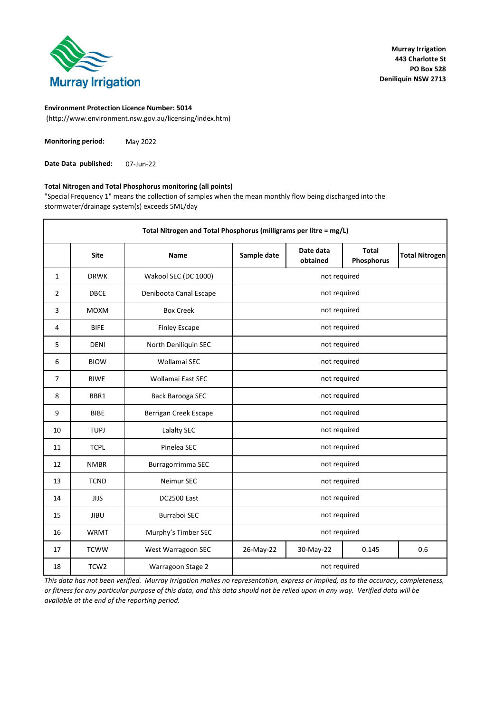

(http://www.environment.nsw.gov.au/licensing/index.htm)

| <b>Monitoring period:</b> | May 2022 |
|---------------------------|----------|
|---------------------------|----------|

07-Jun-22 **Date Data published:**

### **Total Nitrogen and Total Phosphorus monitoring (all points)**

"Special Frequency 1" means the collection of samples when the mean monthly flow being discharged into the stormwater/drainage system(s) exceeds 5ML/day

|                | Total Nitrogen and Total Phosphorus (milligrams per litre = mg/L) |                        |              |                       |                            |                       |  |  |
|----------------|-------------------------------------------------------------------|------------------------|--------------|-----------------------|----------------------------|-----------------------|--|--|
|                | <b>Site</b>                                                       | <b>Name</b>            | Sample date  | Date data<br>obtained | <b>Total</b><br>Phosphorus | <b>Total Nitrogen</b> |  |  |
| $\mathbf{1}$   | <b>DRWK</b>                                                       | Wakool SEC (DC 1000)   |              | not required          |                            |                       |  |  |
| $\overline{2}$ | <b>DBCE</b>                                                       | Deniboota Canal Escape |              | not required          |                            |                       |  |  |
| 3              | <b>MOXM</b>                                                       | <b>Box Creek</b>       |              | not required          |                            |                       |  |  |
| 4              | <b>BIFE</b>                                                       | <b>Finley Escape</b>   |              | not required          |                            |                       |  |  |
| 5              | <b>DENI</b>                                                       | North Deniliquin SEC   |              | not required          |                            |                       |  |  |
| 6              | <b>BIOW</b>                                                       | Wollamai SEC           | not required |                       |                            |                       |  |  |
| $\overline{7}$ | <b>BIWE</b>                                                       | Wollamai East SEC      | not required |                       |                            |                       |  |  |
| 8              | BBR1                                                              | Back Barooga SEC       | not required |                       |                            |                       |  |  |
| 9              | <b>BIBE</b>                                                       | Berrigan Creek Escape  | not required |                       |                            |                       |  |  |
| 10             | <b>TUPJ</b>                                                       | Lalalty SEC            |              | not required          |                            |                       |  |  |
| 11             | <b>TCPL</b>                                                       | Pinelea SEC            |              | not required          |                            |                       |  |  |
| 12             | <b>NMBR</b>                                                       | Burragorrimma SEC      |              | not required          |                            |                       |  |  |
| 13             | <b>TCND</b>                                                       | Neimur SEC             |              | not required          |                            |                       |  |  |
| 14             | <b>JIJS</b>                                                       | <b>DC2500 East</b>     |              | not required          |                            |                       |  |  |
| 15             | <b>JIBU</b>                                                       | Burraboi SEC           | not required |                       |                            |                       |  |  |
| 16             | <b>WRMT</b>                                                       | Murphy's Timber SEC    |              | not required          |                            |                       |  |  |
| 17             | <b>TCWW</b>                                                       | West Warragoon SEC     | 26-May-22    | 30-May-22             | 0.145                      | 0.6                   |  |  |
| 18             | TCW <sub>2</sub>                                                  | Warragoon Stage 2      | not required |                       |                            |                       |  |  |

*This data has not been verified. Murray Irrigation makes no representation, express or implied, as to the accuracy, completeness, or fitness for any particular purpose of this data, and this data should not be relied upon in any way. Verified data will be available at the end of the reporting period.*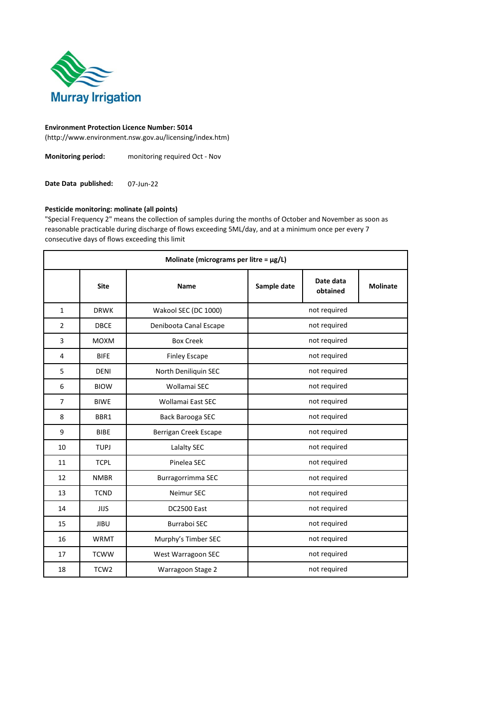

(http://www.environment.nsw.gov.au/licensing/index.htm)

**Monitoring period:** monitoring required Oct - Nov

07-Jun-22 **Date Data published:**

### **Pesticide monitoring: molinate (all points)**

"Special Frequency 2" means the collection of samples during the months of October and November as soon as reasonable practicable during discharge of flows exceeding 5ML/day, and at a minimum once per every 7 consecutive days of flows exceeding this limit

|                | Molinate (micrograms per litre = $\mu$ g/L) |                        |              |                       |  |  |  |
|----------------|---------------------------------------------|------------------------|--------------|-----------------------|--|--|--|
|                | <b>Site</b>                                 | <b>Name</b>            | Sample date  | Date data<br>obtained |  |  |  |
| $\mathbf{1}$   | <b>DRWK</b>                                 | Wakool SEC (DC 1000)   |              | not required          |  |  |  |
| $\overline{2}$ | <b>DBCE</b>                                 | Deniboota Canal Escape |              | not required          |  |  |  |
| 3              | <b>MOXM</b>                                 | <b>Box Creek</b>       |              | not required          |  |  |  |
| $\overline{4}$ | <b>BIFE</b>                                 | <b>Finley Escape</b>   |              | not required          |  |  |  |
| 5              | <b>DENI</b>                                 | North Deniliquin SEC   | not required |                       |  |  |  |
| 6              | <b>BIOW</b>                                 | Wollamai SEC           | not required |                       |  |  |  |
| $\overline{7}$ | <b>BIWE</b>                                 | Wollamai East SEC      |              | not required          |  |  |  |
| 8              | BBR1                                        | Back Barooga SEC       |              |                       |  |  |  |
| 9              | <b>BIBE</b>                                 | Berrigan Creek Escape  | not required |                       |  |  |  |
| 10             | <b>TUPJ</b>                                 | Lalalty SEC            |              | not required          |  |  |  |
| 11             | <b>TCPL</b>                                 | Pinelea SEC            |              | not required          |  |  |  |
| 12             | <b>NMBR</b>                                 | Burragorrimma SEC      |              | not required          |  |  |  |
| 13             | <b>TCND</b>                                 | Neimur SEC             |              | not required          |  |  |  |
| 14             | JIJS                                        | DC2500 East            |              | not required          |  |  |  |
| 15             | <b>JIBU</b>                                 | <b>Burraboi SEC</b>    | not required |                       |  |  |  |
| 16             | <b>WRMT</b>                                 | Murphy's Timber SEC    |              | not required          |  |  |  |
| 17             | <b>TCWW</b>                                 | West Warragoon SEC     |              | not required          |  |  |  |
| 18             | TCW <sub>2</sub>                            | Warragoon Stage 2      |              | not required          |  |  |  |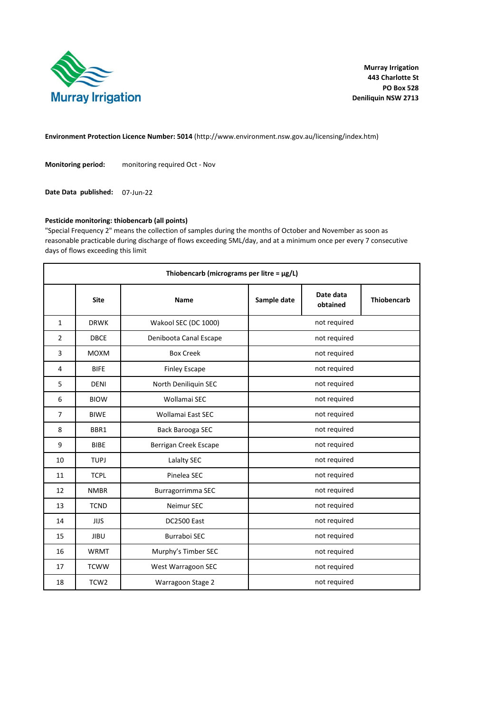

**Environment Protection Licence Number: 5014** (http://www.environment.nsw.gov.au/licensing/index.htm)

**Monitoring period:** monitoring required Oct - Nov

Date Data published: 07-Jun-22

# **Pesticide monitoring: thiobencarb (all points)**

"Special Frequency 2" means the collection of samples during the months of October and November as soon as reasonable practicable during discharge of flows exceeding 5ML/day, and at a minimum once per every 7 consecutive days of flows exceeding this limit

| Thiobencarb (micrograms per litre = $\mu$ g/L) |                  |                        |                                      |              |                    |  |  |
|------------------------------------------------|------------------|------------------------|--------------------------------------|--------------|--------------------|--|--|
|                                                | <b>Site</b>      | Name                   | Date data<br>Sample date<br>obtained |              | <b>Thiobencarb</b> |  |  |
| $\mathbf{1}$                                   | <b>DRWK</b>      | Wakool SEC (DC 1000)   |                                      | not required |                    |  |  |
| $\overline{2}$                                 | <b>DBCE</b>      | Deniboota Canal Escape |                                      | not required |                    |  |  |
| 3                                              | <b>MOXM</b>      | <b>Box Creek</b>       |                                      | not required |                    |  |  |
| 4                                              | <b>BIFE</b>      | <b>Finley Escape</b>   |                                      | not required |                    |  |  |
| 5                                              | <b>DENI</b>      | North Deniliquin SEC   | not required                         |              |                    |  |  |
| 6                                              | <b>BIOW</b>      | Wollamai SEC           | not required                         |              |                    |  |  |
| 7                                              | <b>BIWE</b>      | Wollamai East SEC      | not required                         |              |                    |  |  |
| 8                                              | BBR1             | Back Barooga SEC       | not required                         |              |                    |  |  |
| 9                                              | <b>BIBE</b>      | Berrigan Creek Escape  | not required                         |              |                    |  |  |
| 10                                             | <b>TUPJ</b>      | Lalalty SEC            |                                      | not required |                    |  |  |
| 11                                             | <b>TCPL</b>      | Pinelea SEC            |                                      | not required |                    |  |  |
| 12                                             | <b>NMBR</b>      | Burragorrimma SEC      |                                      | not required |                    |  |  |
| 13                                             | <b>TCND</b>      | Neimur SEC             |                                      | not required |                    |  |  |
| 14                                             | JIJS             | <b>DC2500 East</b>     | not required                         |              |                    |  |  |
| 15                                             | <b>JIBU</b>      | <b>Burraboi SEC</b>    |                                      | not required |                    |  |  |
| 16                                             | <b>WRMT</b>      | Murphy's Timber SEC    |                                      | not required |                    |  |  |
| 17                                             | <b>TCWW</b>      | West Warragoon SEC     | not required                         |              |                    |  |  |
| 18                                             | TCW <sub>2</sub> | Warragoon Stage 2      | not required                         |              |                    |  |  |